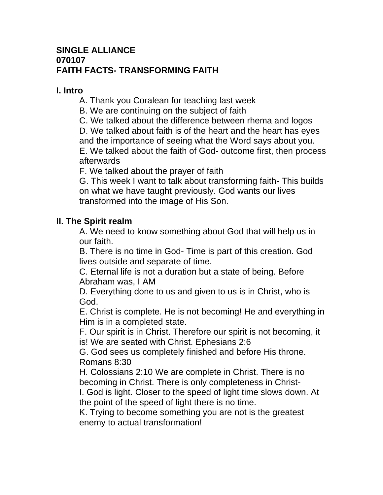## **SINGLE ALLIANCE 070107 FAITH FACTS- TRANSFORMING FAITH**

## **I. Intro**

- A. Thank you Coralean for teaching last week
- B. We are continuing on the subject of faith
- C. We talked about the difference between rhema and logos

D. We talked about faith is of the heart and the heart has eyes and the importance of seeing what the Word says about you. E. We talked about the faith of God- outcome first, then process afterwards

F. We talked about the prayer of faith

G. This week I want to talk about transforming faith- This builds on what we have taught previously. God wants our lives transformed into the image of His Son.

# **II. The Spirit realm**

A. We need to know something about God that will help us in our faith.

B. There is no time in God- Time is part of this creation. God lives outside and separate of time.

C. Eternal life is not a duration but a state of being. Before Abraham was, I AM

D. Everything done to us and given to us is in Christ, who is God.

E. Christ is complete. He is not becoming! He and everything in Him is in a completed state.

F. Our spirit is in Christ. Therefore our spirit is not becoming, it is! We are seated with Christ. Ephesians 2:6

G. God sees us completely finished and before His throne. Romans 8:30

H. Colossians 2:10 We are complete in Christ. There is no becoming in Christ. There is only completeness in Christ-

I. God is light. Closer to the speed of light time slows down. At the point of the speed of light there is no time.

K. Trying to become something you are not is the greatest enemy to actual transformation!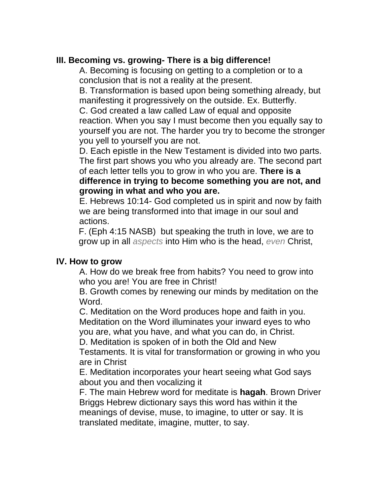## **III. Becoming vs. growing- There is a big difference!**

A. Becoming is focusing on getting to a completion or to a conclusion that is not a reality at the present.

B. Transformation is based upon being something already, but manifesting it progressively on the outside. Ex. Butterfly.

C. God created a law called Law of equal and opposite

reaction. When you say I must become then you equally say to yourself you are not. The harder you try to become the stronger you yell to yourself you are not.

D. Each epistle in the New Testament is divided into two parts. The first part shows you who you already are. The second part of each letter tells you to grow in who you are. **There is a difference in trying to become something you are not, and growing in what and who you are.** 

E. Hebrews 10:14- God completed us in spirit and now by faith we are being transformed into that image in our soul and actions.

F. (Eph 4:15 NASB) but speaking the truth in love, we are to grow up in all *aspects* into Him who is the head, *even* Christ,

#### **IV. How to grow**

A. How do we break free from habits? You need to grow into who you are! You are free in Christ!

B. Growth comes by renewing our minds by meditation on the Word.

C. Meditation on the Word produces hope and faith in you. Meditation on the Word illuminates your inward eyes to who you are, what you have, and what you can do, in Christ.

D. Meditation is spoken of in both the Old and New

Testaments. It is vital for transformation or growing in who you are in Christ

E. Meditation incorporates your heart seeing what God says about you and then vocalizing it

F. The main Hebrew word for meditate is **hagah**. Brown Driver Briggs Hebrew dictionary says this word has within it the meanings of devise, muse, to imagine, to utter or say. It is translated meditate, imagine, mutter, to say.